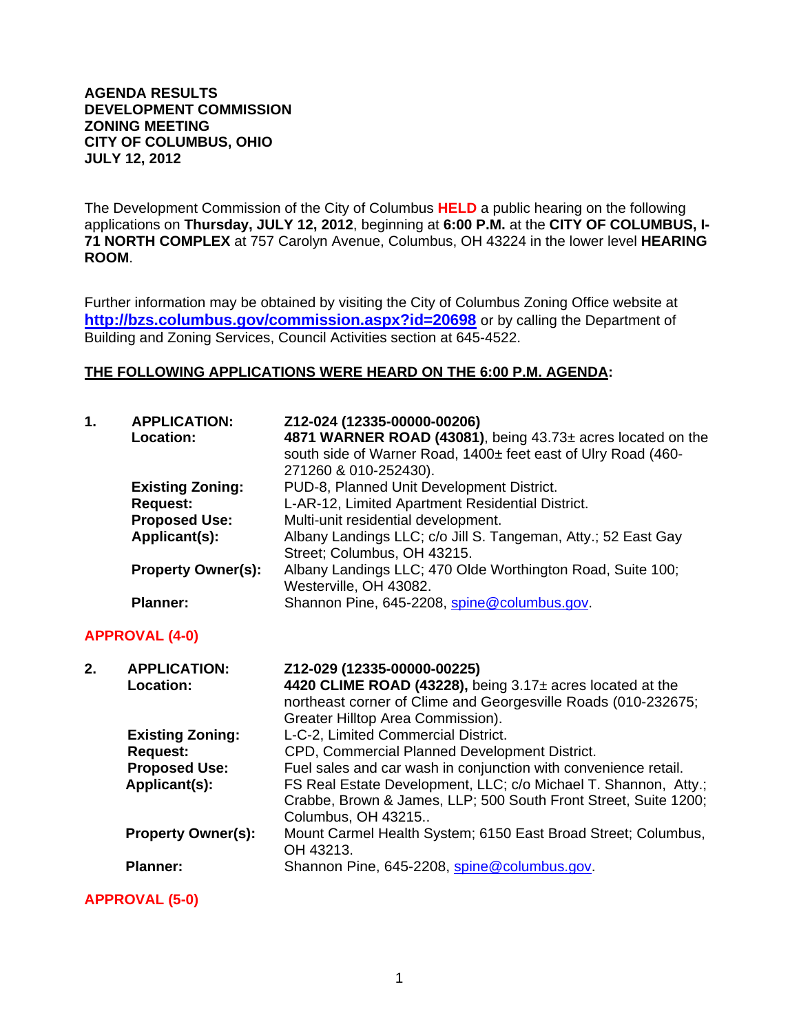#### **AGENDA RESULTS DEVELOPMENT COMMISSION ZONING MEETING CITY OF COLUMBUS, OHIO JULY 12, 2012**

The Development Commission of the City of Columbus **HELD** a public hearing on the following applications on **Thursday, JULY 12, 2012**, beginning at **6:00 P.M.** at the **CITY OF COLUMBUS, I-71 NORTH COMPLEX** at 757 Carolyn Avenue, Columbus, OH 43224 in the lower level **HEARING ROOM**.

Further information may be obtained by visiting the City of Columbus Zoning Office website at **http://bzs.columbus.gov/commission.aspx?id=20698** or by calling the Department of Building and Zoning Services, Council Activities section at 645-4522.

#### **THE FOLLOWING APPLICATIONS WERE HEARD ON THE 6:00 P.M. AGENDA:**

| $\mathbf 1$ . | <b>APPLICATION:</b><br><b>Location:</b> | Z12-024 (12335-00000-00206)<br>4871 WARNER ROAD (43081), being 43.73± acres located on the<br>south side of Warner Road, 1400± feet east of Ulry Road (460-<br>271260 & 010-252430). |
|---------------|-----------------------------------------|--------------------------------------------------------------------------------------------------------------------------------------------------------------------------------------|
|               | <b>Existing Zoning:</b>                 | PUD-8, Planned Unit Development District.                                                                                                                                            |
|               | <b>Request:</b>                         | L-AR-12, Limited Apartment Residential District.                                                                                                                                     |
|               | <b>Proposed Use:</b>                    | Multi-unit residential development.                                                                                                                                                  |
|               | Applicant(s):                           | Albany Landings LLC; c/o Jill S. Tangeman, Atty.; 52 East Gay<br>Street; Columbus, OH 43215.                                                                                         |
|               | <b>Property Owner(s):</b>               | Albany Landings LLC; 470 Olde Worthington Road, Suite 100;<br>Westerville, OH 43082.                                                                                                 |
|               | <b>Planner:</b>                         | Shannon Pine, 645-2208, spine@columbus.gov.                                                                                                                                          |

### **APPROVAL (4-0)**

| 2. | <b>APPLICATION:</b><br>Location: | Z12-029 (12335-00000-00225)<br>4420 CLIME ROAD (43228), being 3.17± acres located at the<br>northeast corner of Clime and Georgesville Roads (010-232675;<br>Greater Hilltop Area Commission). |
|----|----------------------------------|------------------------------------------------------------------------------------------------------------------------------------------------------------------------------------------------|
|    | <b>Existing Zoning:</b>          | L-C-2, Limited Commercial District.                                                                                                                                                            |
|    | <b>Request:</b>                  | CPD, Commercial Planned Development District.                                                                                                                                                  |
|    | <b>Proposed Use:</b>             | Fuel sales and car wash in conjunction with convenience retail.                                                                                                                                |
|    | Applicant(s):                    | FS Real Estate Development, LLC; c/o Michael T. Shannon, Atty.;<br>Crabbe, Brown & James, LLP; 500 South Front Street, Suite 1200;<br>Columbus, OH 43215                                       |
|    | <b>Property Owner(s):</b>        | Mount Carmel Health System; 6150 East Broad Street; Columbus,<br>OH 43213.                                                                                                                     |
|    | <b>Planner:</b>                  | Shannon Pine, 645-2208, spine@columbus.gov.                                                                                                                                                    |

**APPROVAL (5-0)**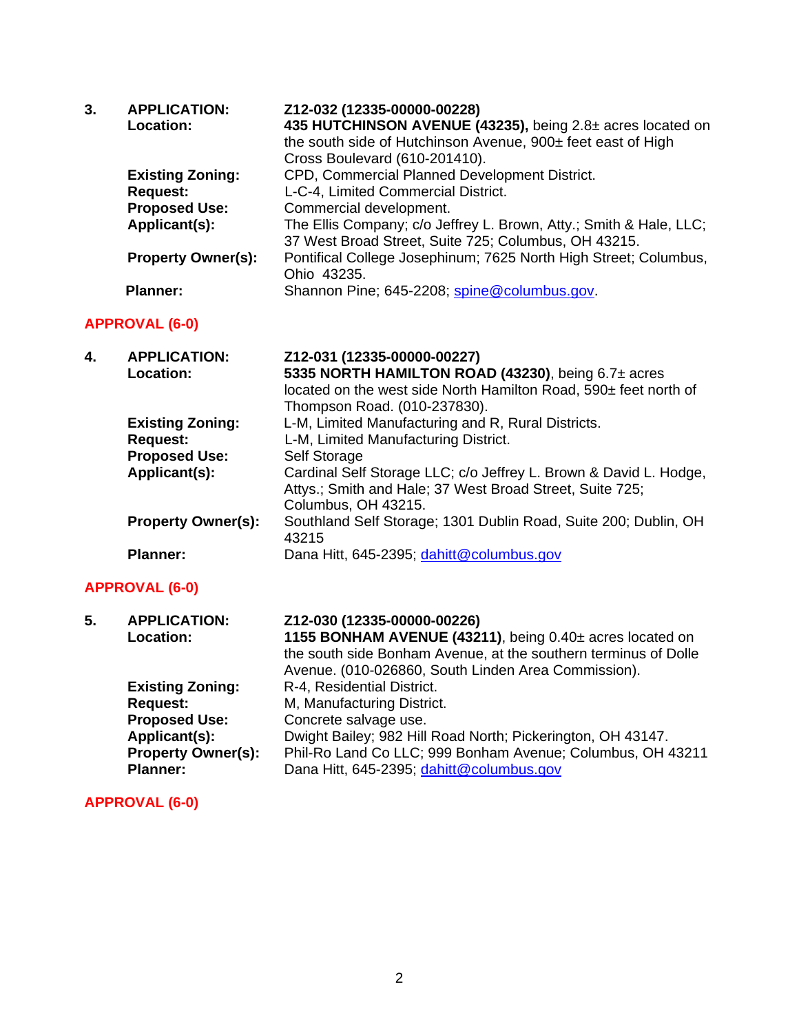| 3. | <b>APPLICATION:</b><br><b>Location:</b> | Z12-032 (12335-00000-00228)<br>435 HUTCHINSON AVENUE (43235), being 2.8± acres located on<br>the south side of Hutchinson Avenue, 900± feet east of High<br>Cross Boulevard (610-201410). |
|----|-----------------------------------------|-------------------------------------------------------------------------------------------------------------------------------------------------------------------------------------------|
|    | <b>Existing Zoning:</b>                 | CPD, Commercial Planned Development District.                                                                                                                                             |
|    | <b>Request:</b>                         | L-C-4, Limited Commercial District.                                                                                                                                                       |
|    | <b>Proposed Use:</b>                    | Commercial development.                                                                                                                                                                   |
|    | Applicant(s):                           | The Ellis Company; c/o Jeffrey L. Brown, Atty.; Smith & Hale, LLC;                                                                                                                        |
|    |                                         | 37 West Broad Street, Suite 725; Columbus, OH 43215.                                                                                                                                      |
|    | <b>Property Owner(s):</b>               | Pontifical College Josephinum; 7625 North High Street; Columbus,                                                                                                                          |
|    |                                         | Ohio 43235.                                                                                                                                                                               |
|    | <b>Planner:</b>                         | Shannon Pine; 645-2208; spine@columbus.gov.                                                                                                                                               |

## **APPROVAL (6-0)**

| 4. | <b>APPLICATION:</b><br>Location: | Z12-031 (12335-00000-00227)<br>5335 NORTH HAMILTON ROAD (43230), being 6.7± acres<br>located on the west side North Hamilton Road, 590± feet north of<br>Thompson Road. (010-237830). |
|----|----------------------------------|---------------------------------------------------------------------------------------------------------------------------------------------------------------------------------------|
|    | <b>Existing Zoning:</b>          | L-M, Limited Manufacturing and R, Rural Districts.                                                                                                                                    |
|    | <b>Request:</b>                  | L-M, Limited Manufacturing District.                                                                                                                                                  |
|    | <b>Proposed Use:</b>             | Self Storage                                                                                                                                                                          |
|    | Applicant(s):                    | Cardinal Self Storage LLC; c/o Jeffrey L. Brown & David L. Hodge,<br>Attys.; Smith and Hale; 37 West Broad Street, Suite 725;<br>Columbus, OH 43215.                                  |
|    | <b>Property Owner(s):</b>        | Southland Self Storage; 1301 Dublin Road, Suite 200; Dublin, OH<br>43215                                                                                                              |
|    | <b>Planner:</b>                  | Dana Hitt, 645-2395; dahitt@columbus.gov                                                                                                                                              |

## **APPROVAL (6-0)**

| 5. | <b>APPLICATION:</b><br>Location: | Z12-030 (12335-00000-00226)<br>1155 BONHAM AVENUE (43211), being 0.40± acres located on<br>the south side Bonham Avenue, at the southern terminus of Dolle<br>Avenue. (010-026860, South Linden Area Commission). |
|----|----------------------------------|-------------------------------------------------------------------------------------------------------------------------------------------------------------------------------------------------------------------|
|    | <b>Existing Zoning:</b>          | R-4, Residential District.                                                                                                                                                                                        |
|    | <b>Request:</b>                  | M, Manufacturing District.                                                                                                                                                                                        |
|    | <b>Proposed Use:</b>             | Concrete salvage use.                                                                                                                                                                                             |
|    | Applicant(s):                    | Dwight Bailey; 982 Hill Road North; Pickerington, OH 43147.                                                                                                                                                       |
|    | <b>Property Owner(s):</b>        | Phil-Ro Land Co LLC; 999 Bonham Avenue; Columbus, OH 43211                                                                                                                                                        |
|    | <b>Planner:</b>                  | Dana Hitt, 645-2395; dahitt@columbus.gov                                                                                                                                                                          |

## **APPROVAL (6-0)**